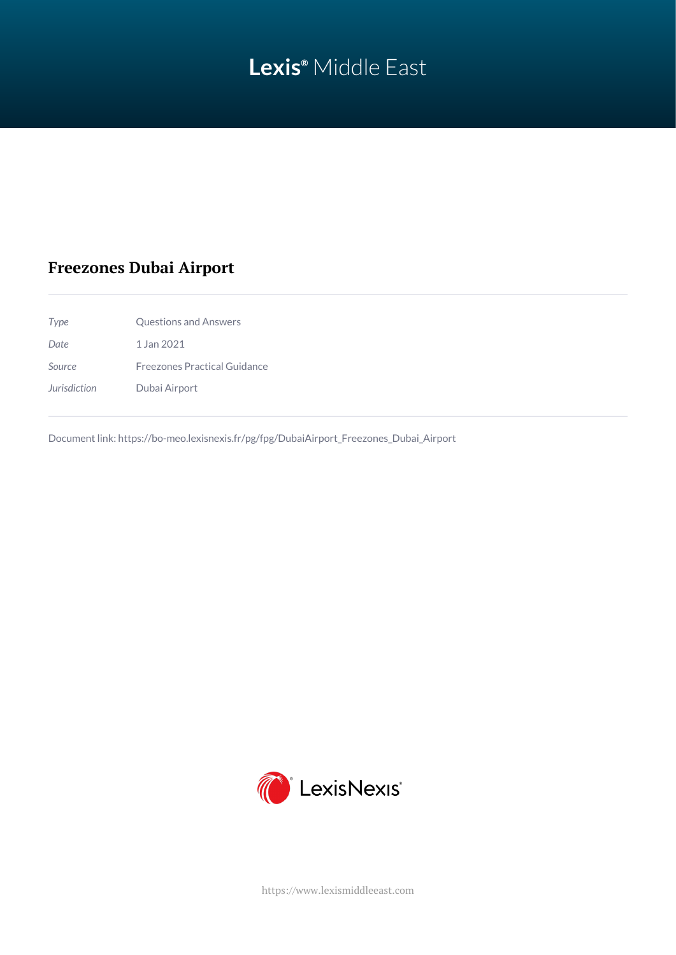# **Lexis®** Middle East

## **Freezones Dubai Airport**

| Type         | Questions and Answers               |
|--------------|-------------------------------------|
| Date         | 1 Jan 2021                          |
| Source       | <b>Freezones Practical Guidance</b> |
| Jurisdiction | Dubai Airport                       |

Document link: [https://bo-meo.lexisnexis.fr/pg/fpg/DubaiAirport\\_Freezones\\_Dubai\\_Airport](https://bo-meo.lexisnexis.fr/pg/fpg/DubaiAirport_Freezones_Dubai_Airport)



<https://www.lexismiddleeast.com>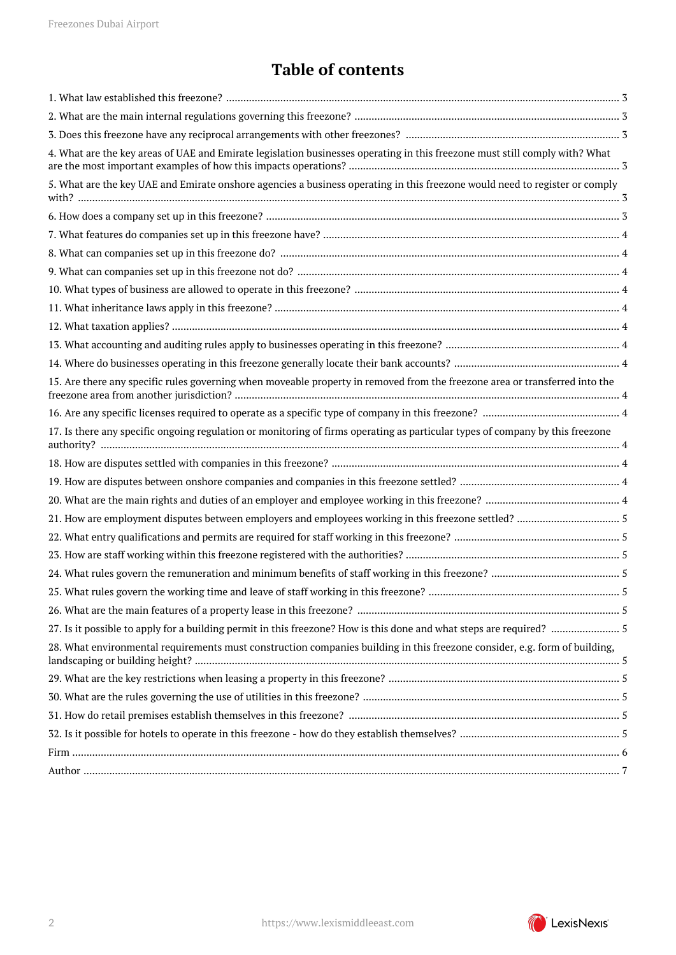## **Table of contents**

| 4. What are the key areas of UAE and Emirate legislation businesses operating in this freezone must still comply with? What   |
|-------------------------------------------------------------------------------------------------------------------------------|
| 5. What are the key UAE and Emirate onshore agencies a business operating in this freezone would need to register or comply   |
|                                                                                                                               |
|                                                                                                                               |
|                                                                                                                               |
|                                                                                                                               |
|                                                                                                                               |
|                                                                                                                               |
|                                                                                                                               |
|                                                                                                                               |
|                                                                                                                               |
| 15. Are there any specific rules governing when moveable property in removed from the freezone area or transferred into the   |
|                                                                                                                               |
| 17. Is there any specific ongoing regulation or monitoring of firms operating as particular types of company by this freezone |
|                                                                                                                               |
|                                                                                                                               |
|                                                                                                                               |
|                                                                                                                               |
|                                                                                                                               |
|                                                                                                                               |
|                                                                                                                               |
|                                                                                                                               |
|                                                                                                                               |
|                                                                                                                               |
| 28. What environmental requirements must construction companies building in this freezone consider, e.g. form of building,    |
|                                                                                                                               |
|                                                                                                                               |
|                                                                                                                               |
|                                                                                                                               |
|                                                                                                                               |
|                                                                                                                               |

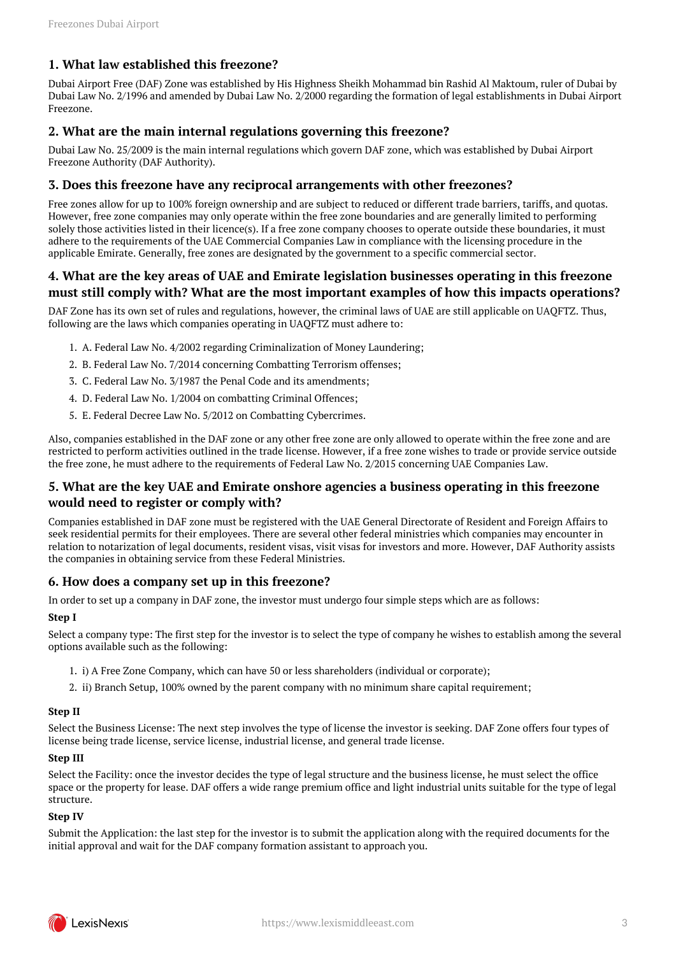## <span id="page-2-0"></span>**1. What law established this freezone?**

Dubai Airport Free (DAF) Zone was established by His Highness Sheikh Mohammad bin Rashid Al Maktoum, ruler of Dubai by Dubai Law No. 2/1996 and amended by Dubai Law No. 2/2000 regarding the formation of legal establishments in Dubai Airport Freezone.

#### <span id="page-2-1"></span>**2. What are the main internal regulations governing this freezone?**

Dubai Law No. 25/2009 is the main internal regulations which govern DAF zone, which was established by Dubai Airport Freezone Authority (DAF Authority).

#### <span id="page-2-2"></span>**3. Does this freezone have any reciprocal arrangements with other freezones?**

Free zones allow for up to 100% foreign ownership and are subject to reduced or different trade barriers, tariffs, and quotas. However, free zone companies may only operate within the free zone boundaries and are generally limited to performing solely those activities listed in their licence(s). If a free zone company chooses to operate outside these boundaries, it must adhere to the requirements of the UAE Commercial Companies Law in compliance with the licensing procedure in the applicable Emirate. Generally, free zones are designated by the government to a specific commercial sector.

#### <span id="page-2-3"></span>**4. What are the key areas of UAE and Emirate legislation businesses operating in this freezone must still comply with? What are the most important examples of how this impacts operations?**

DAF Zone has its own set of rules and regulations, however, the criminal laws of UAE are still applicable on UAQFTZ. Thus, following are the laws which companies operating in UAQFTZ must adhere to:

- 1. A. Federal Law No. 4/2002 regarding Criminalization of Money Laundering;
- 2. B. Federal Law No. 7/2014 concerning Combatting Terrorism offenses;
- 3. C. Federal Law No. 3/1987 the Penal Code and its amendments;
- 4. D. Federal Law No. 1/2004 on combatting Criminal Offences;
- 5. E. Federal Decree Law No. 5/2012 on Combatting Cybercrimes.

Also, companies established in the DAF zone or any other free zone are only allowed to operate within the free zone and are restricted to perform activities outlined in the trade license. However, if a free zone wishes to trade or provide service outside the free zone, he must adhere to the requirements of Federal Law No. 2/2015 concerning UAE Companies Law.

## <span id="page-2-4"></span>**5. What are the key UAE and Emirate onshore agencies a business operating in this freezone would need to register or comply with?**

Companies established in DAF zone must be registered with the UAE General Directorate of Resident and Foreign Affairs to seek residential permits for their employees. There are several other federal ministries which companies may encounter in relation to notarization of legal documents, resident visas, visit visas for investors and more. However, DAF Authority assists the companies in obtaining service from these Federal Ministries.

#### <span id="page-2-5"></span>**6. How does a company set up in this freezone?**

In order to set up a company in DAF zone, the investor must undergo four simple steps which are as follows:

#### **Step I**

Select a company type: The first step for the investor is to select the type of company he wishes to establish among the several options available such as the following:

- 1. i) A Free Zone Company, which can have 50 or less shareholders (individual or corporate);
- 2. ii) Branch Setup, 100% owned by the parent company with no minimum share capital requirement;

#### **Step II**

Select the Business License: The next step involves the type of license the investor is seeking. DAF Zone offers four types of license being trade license, service license, industrial license, and general trade license.

#### **Step III**

Select the Facility: once the investor decides the type of legal structure and the business license, he must select the office space or the property for lease. DAF offers a wide range premium office and light industrial units suitable for the type of legal structure.

#### **Step IV**

Submit the Application: the last step for the investor is to submit the application along with the required documents for the initial approval and wait for the DAF company formation assistant to approach you.

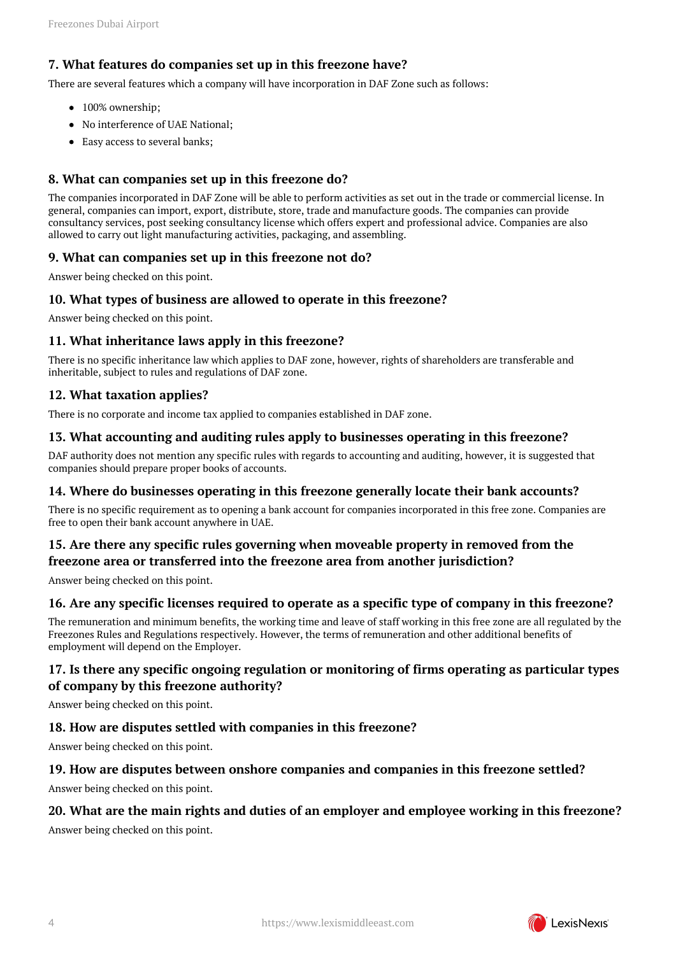## <span id="page-3-0"></span>**7. What features do companies set up in this freezone have?**

There are several features which a company will have incorporation in DAF Zone such as follows:

- 100% ownership;
- No interference of UAE National;
- Easy access to several banks;

## <span id="page-3-1"></span>**8. What can companies set up in this freezone do?**

The companies incorporated in DAF Zone will be able to perform activities as set out in the trade or commercial license. In general, companies can import, export, distribute, store, trade and manufacture goods. The companies can provide consultancy services, post seeking consultancy license which offers expert and professional advice. Companies are also allowed to carry out light manufacturing activities, packaging, and assembling.

#### <span id="page-3-2"></span>**9. What can companies set up in this freezone not do?**

Answer being checked on this point.

#### <span id="page-3-3"></span>**10. What types of business are allowed to operate in this freezone?**

Answer being checked on this point.

#### <span id="page-3-4"></span>**11. What inheritance laws apply in this freezone?**

There is no specific inheritance law which applies to DAF zone, however, rights of shareholders are transferable and inheritable, subject to rules and regulations of DAF zone.

#### <span id="page-3-5"></span>**12. What taxation applies?**

There is no corporate and income tax applied to companies established in DAF zone.

#### <span id="page-3-6"></span>**13. What accounting and auditing rules apply to businesses operating in this freezone?**

DAF authority does not mention any specific rules with regards to accounting and auditing, however, it is suggested that companies should prepare proper books of accounts.

## <span id="page-3-7"></span>**14. Where do businesses operating in this freezone generally locate their bank accounts?**

There is no specific requirement as to opening a bank account for companies incorporated in this free zone. Companies are free to open their bank account anywhere in UAE.

## <span id="page-3-8"></span>**15. Are there any specific rules governing when moveable property in removed from the freezone area or transferred into the freezone area from another jurisdiction?**

Answer being checked on this point.

## <span id="page-3-9"></span>**16. Are any specific licenses required to operate as a specific type of company in this freezone?**

The remuneration and minimum benefits, the working time and leave of staff working in this free zone are all regulated by the Freezones Rules and Regulations respectively. However, the terms of remuneration and other additional benefits of employment will depend on the Employer.

## <span id="page-3-10"></span>**17. Is there any specific ongoing regulation or monitoring of firms operating as particular types of company by this freezone authority?**

Answer being checked on this point.

## <span id="page-3-11"></span>**18. How are disputes settled with companies in this freezone?**

Answer being checked on this point.

#### <span id="page-3-12"></span>**19. How are disputes between onshore companies and companies in this freezone settled?**

Answer being checked on this point.

#### <span id="page-3-13"></span>**20. What are the main rights and duties of an employer and employee working in this freezone?**

Answer being checked on this point.

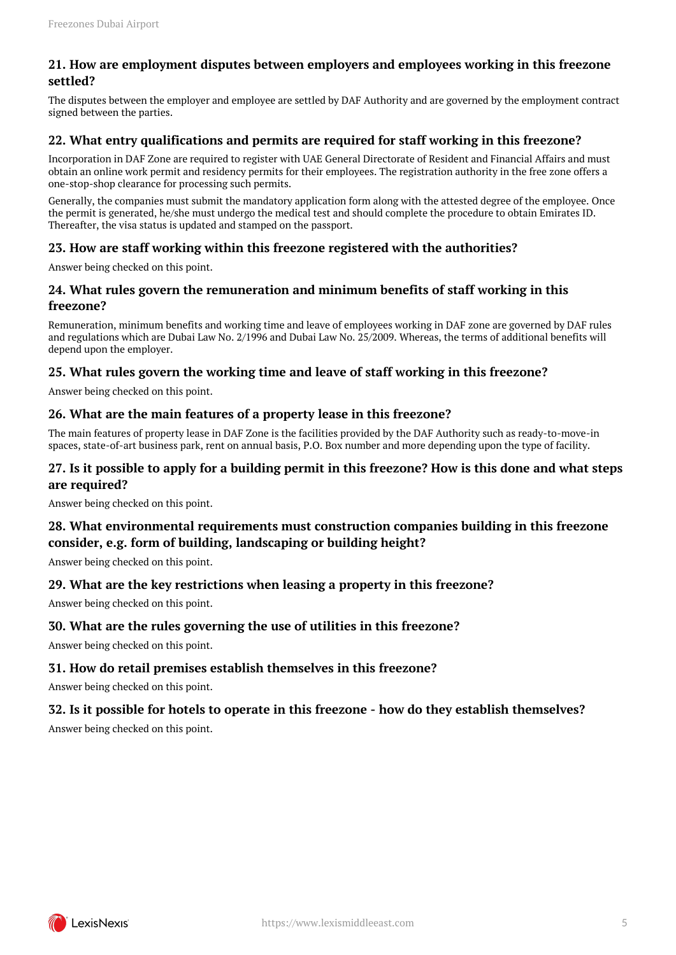## <span id="page-4-0"></span>**21. How are employment disputes between employers and employees working in this freezone settled?**

The disputes between the employer and employee are settled by DAF Authority and are governed by the employment contract signed between the parties.

#### <span id="page-4-1"></span>**22. What entry qualifications and permits are required for staff working in this freezone?**

Incorporation in DAF Zone are required to register with UAE General Directorate of Resident and Financial Affairs and must obtain an online work permit and residency permits for their employees. The registration authority in the free zone offers a one-stop-shop clearance for processing such permits.

Generally, the companies must submit the mandatory application form along with the attested degree of the employee. Once the permit is generated, he/she must undergo the medical test and should complete the procedure to obtain Emirates ID. Thereafter, the visa status is updated and stamped on the passport.

## <span id="page-4-2"></span>**23. How are staff working within this freezone registered with the authorities?**

Answer being checked on this point.

#### <span id="page-4-3"></span>**24. What rules govern the remuneration and minimum benefits of staff working in this freezone?**

Remuneration, minimum benefits and working time and leave of employees working in DAF zone are governed by DAF rules and regulations which are Dubai Law No. 2/1996 and Dubai Law No. 25/2009. Whereas, the terms of additional benefits will depend upon the employer.

#### <span id="page-4-4"></span>**25. What rules govern the working time and leave of staff working in this freezone?**

Answer being checked on this point.

#### <span id="page-4-5"></span>**26. What are the main features of a property lease in this freezone?**

The main features of property lease in DAF Zone is the facilities provided by the DAF Authority such as ready-to-move-in spaces, state-of-art business park, rent on annual basis, P.O. Box number and more depending upon the type of facility.

#### <span id="page-4-6"></span>**27. Is it possible to apply for a building permit in this freezone? How is this done and what steps are required?**

Answer being checked on this point.

## <span id="page-4-7"></span>**28. What environmental requirements must construction companies building in this freezone consider, e.g. form of building, landscaping or building height?**

Answer being checked on this point.

## <span id="page-4-8"></span>**29. What are the key restrictions when leasing a property in this freezone?**

Answer being checked on this point.

## <span id="page-4-9"></span>**30. What are the rules governing the use of utilities in this freezone?**

Answer being checked on this point.

## <span id="page-4-10"></span>**31. How do retail premises establish themselves in this freezone?**

Answer being checked on this point.

## <span id="page-4-11"></span>**32. Is it possible for hotels to operate in this freezone - how do they establish themselves?**

Answer being checked on this point.

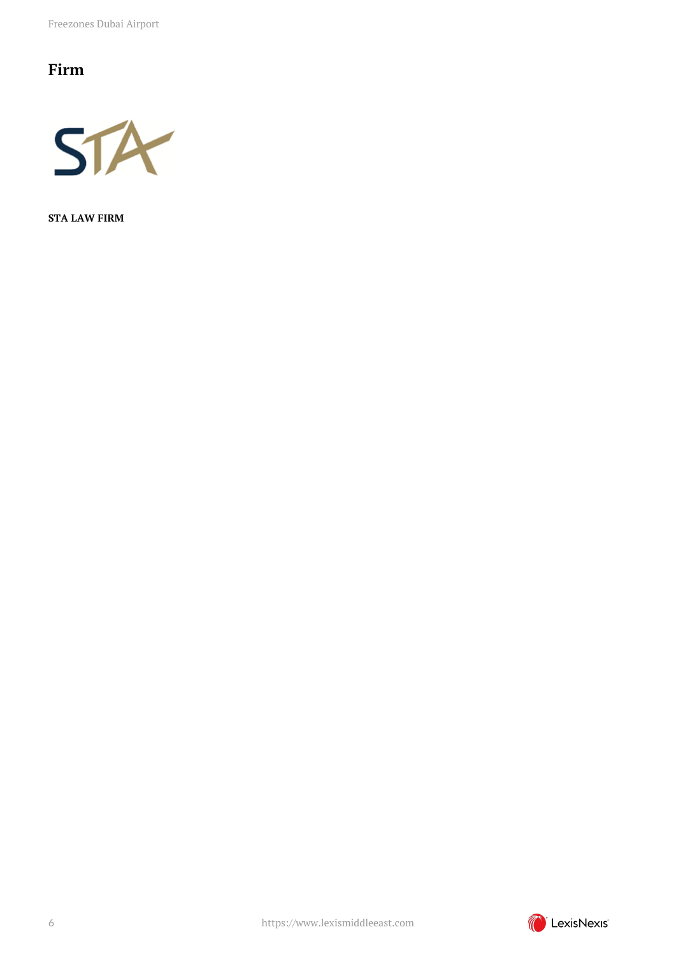Freezones Dubai Airport

## <span id="page-5-0"></span>**Firm**



**STA LAW FIRM**